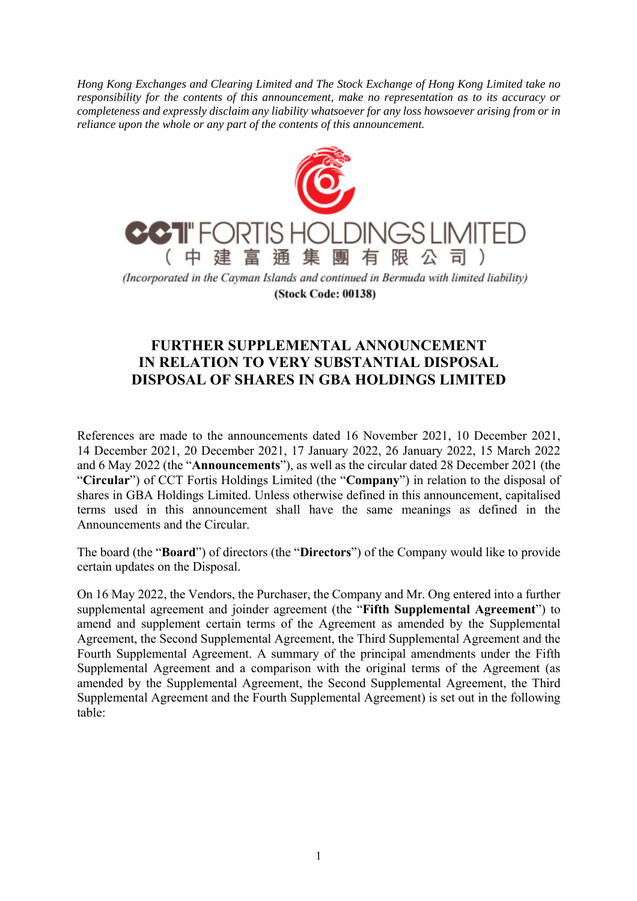*Hong Kong Exchanges and Clearing Limited and The Stock Exchange of Hong Kong Limited take no responsibility for the contents of this announcement, make no representation as to its accuracy or completeness and expressly disclaim any liability whatsoever for any loss howsoever arising from or in reliance upon the whole or any part of the contents of this announcement.* 



**(Stock Code: 00138)** 

## **FURTHER SUPPLEMENTAL ANNOUNCEMENT IN RELATION TO VERY SUBSTANTIAL DISPOSAL DISPOSAL OF SHARES IN GBA HOLDINGS LIMITED**

References are made to the announcements dated 16 November 2021, 10 December 2021, 14 December 2021, 20 December 2021, 17 January 2022, 26 January 2022, 15 March 2022 and 6 May 2022 (the "**Announcements**"), as well as the circular dated 28 December 2021 (the "**Circular**") of CCT Fortis Holdings Limited (the "**Company**") in relation to the disposal of shares in GBA Holdings Limited. Unless otherwise defined in this announcement, capitalised terms used in this announcement shall have the same meanings as defined in the Announcements and the Circular.

The board (the "**Board**") of directors (the "**Directors**") of the Company would like to provide certain updates on the Disposal.

On 16 May 2022, the Vendors, the Purchaser, the Company and Mr. Ong entered into a further supplemental agreement and joinder agreement (the "**Fifth Supplemental Agreement**") to amend and supplement certain terms of the Agreement as amended by the Supplemental Agreement, the Second Supplemental Agreement, the Third Supplemental Agreement and the Fourth Supplemental Agreement. A summary of the principal amendments under the Fifth Supplemental Agreement and a comparison with the original terms of the Agreement (as amended by the Supplemental Agreement, the Second Supplemental Agreement, the Third Supplemental Agreement and the Fourth Supplemental Agreement) is set out in the following table: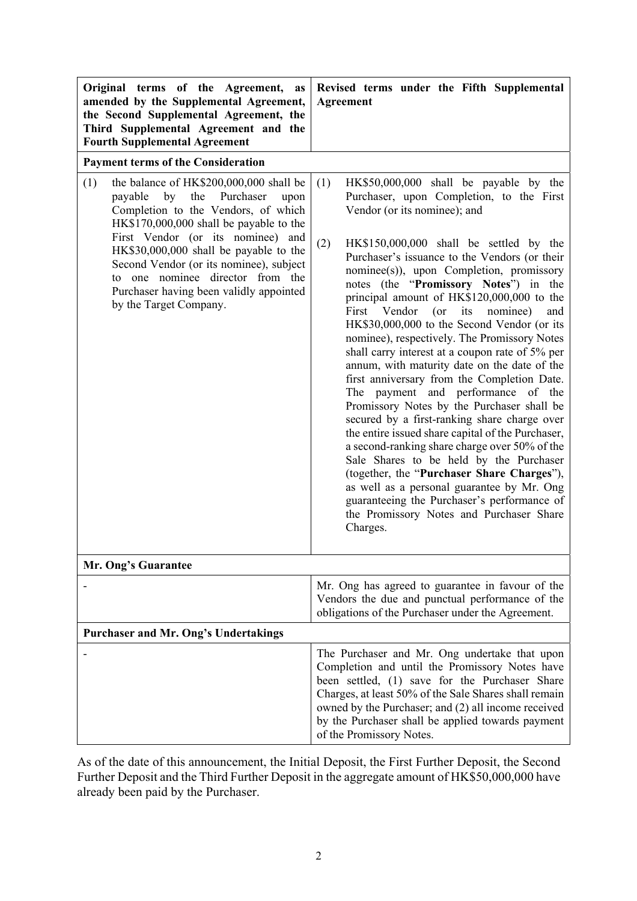| Original terms of the Agreement,<br>as<br>amended by the Supplemental Agreement,<br>the Second Supplemental Agreement, the<br>Third Supplemental Agreement and the<br><b>Fourth Supplemental Agreement</b>                                                                                                                                                                                                    | Revised terms under the Fifth Supplemental<br><b>Agreement</b>                                                                                                                                                                                                                                                                                                                                                                                                                                                                                                                                                                                                                                                                                                                                                                                                                                                                                                                                                                                                                                                                                   |
|---------------------------------------------------------------------------------------------------------------------------------------------------------------------------------------------------------------------------------------------------------------------------------------------------------------------------------------------------------------------------------------------------------------|--------------------------------------------------------------------------------------------------------------------------------------------------------------------------------------------------------------------------------------------------------------------------------------------------------------------------------------------------------------------------------------------------------------------------------------------------------------------------------------------------------------------------------------------------------------------------------------------------------------------------------------------------------------------------------------------------------------------------------------------------------------------------------------------------------------------------------------------------------------------------------------------------------------------------------------------------------------------------------------------------------------------------------------------------------------------------------------------------------------------------------------------------|
| <b>Payment terms of the Consideration</b>                                                                                                                                                                                                                                                                                                                                                                     |                                                                                                                                                                                                                                                                                                                                                                                                                                                                                                                                                                                                                                                                                                                                                                                                                                                                                                                                                                                                                                                                                                                                                  |
| the balance of HK\$200,000,000 shall be<br>(1)<br>by the<br>Purchaser<br>payable<br>upon<br>Completion to the Vendors, of which<br>HK\$170,000,000 shall be payable to the<br>First Vendor (or its nominee) and<br>HK\$30,000,000 shall be payable to the<br>Second Vendor (or its nominee), subject<br>to one nominee director from the<br>Purchaser having been validly appointed<br>by the Target Company. | (1)<br>HK\$50,000,000 shall be payable by the<br>Purchaser, upon Completion, to the First<br>Vendor (or its nominee); and<br>(2)<br>HK\$150,000,000 shall be settled by the<br>Purchaser's issuance to the Vendors (or their<br>nominee(s)), upon Completion, promissory<br>notes (the "Promissory Notes") in the<br>principal amount of HK\$120,000,000 to the<br>First Vendor (or its nominee)<br>and<br>HK\$30,000,000 to the Second Vendor (or its<br>nominee), respectively. The Promissory Notes<br>shall carry interest at a coupon rate of 5% per<br>annum, with maturity date on the date of the<br>first anniversary from the Completion Date.<br>The payment and performance of the<br>Promissory Notes by the Purchaser shall be<br>secured by a first-ranking share charge over<br>the entire issued share capital of the Purchaser,<br>a second-ranking share charge over 50% of the<br>Sale Shares to be held by the Purchaser<br>(together, the "Purchaser Share Charges"),<br>as well as a personal guarantee by Mr. Ong<br>guaranteeing the Purchaser's performance of<br>the Promissory Notes and Purchaser Share<br>Charges. |
| Mr. Ong's Guarantee                                                                                                                                                                                                                                                                                                                                                                                           |                                                                                                                                                                                                                                                                                                                                                                                                                                                                                                                                                                                                                                                                                                                                                                                                                                                                                                                                                                                                                                                                                                                                                  |
|                                                                                                                                                                                                                                                                                                                                                                                                               | Mr. Ong has agreed to guarantee in favour of the<br>Vendors the due and punctual performance of the<br>obligations of the Purchaser under the Agreement.                                                                                                                                                                                                                                                                                                                                                                                                                                                                                                                                                                                                                                                                                                                                                                                                                                                                                                                                                                                         |
| Purchaser and Mr. Ong's Undertakings                                                                                                                                                                                                                                                                                                                                                                          |                                                                                                                                                                                                                                                                                                                                                                                                                                                                                                                                                                                                                                                                                                                                                                                                                                                                                                                                                                                                                                                                                                                                                  |
|                                                                                                                                                                                                                                                                                                                                                                                                               | The Purchaser and Mr. Ong undertake that upon<br>Completion and until the Promissory Notes have<br>been settled, (1) save for the Purchaser Share<br>Charges, at least 50% of the Sale Shares shall remain<br>owned by the Purchaser; and (2) all income received<br>by the Purchaser shall be applied towards payment<br>of the Promissory Notes.                                                                                                                                                                                                                                                                                                                                                                                                                                                                                                                                                                                                                                                                                                                                                                                               |

As of the date of this announcement, the Initial Deposit, the First Further Deposit, the Second Further Deposit and the Third Further Deposit in the aggregate amount of HK\$50,000,000 have already been paid by the Purchaser.